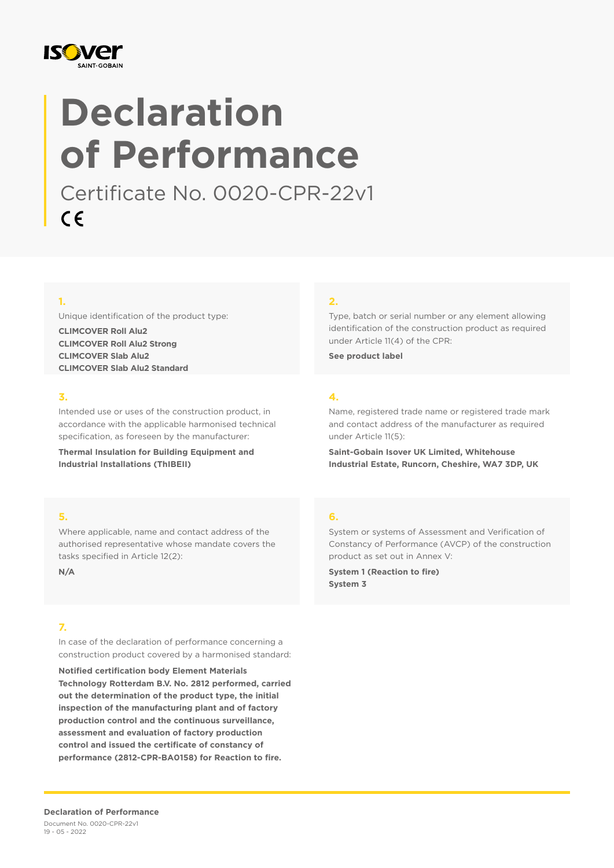

# **Declaration of Performance**

Certificate No. 0020-CPR-22v1 $C \in$ 

## **1.**

Unique identification of the product type:

**CLIMCOVER Roll Alu2 CLIMCOVER Roll Alu2 Strong CLIMCOVER Slab Alu2 CLIMCOVER Slab Alu2 Standard**

### **3.**

Intended use or uses of the construction product, in accordance with the applicable harmonised technical specification, as foreseen by the manufacturer:

**Thermal Insulation for Building Equipment and Industrial Installations (ThIBEII)**

#### **5.**

Where applicable, name and contact address of the authorised representative whose mandate covers the tasks specified in Article 12(2):

**N/A**

## **7.**

In case of the declaration of performance concerning a construction product covered by a harmonised standard:

**Notified certification body Element Materials Technology Rotterdam B.V. No. 2812 performed, carried out the determination of the product type, the initial inspection of the manufacturing plant and of factory production control and the continuous surveillance, assessment and evaluation of factory production control and issued the certificate of constancy of performance (2812-CPR-BA0158) for Reaction to fire.**

#### **2.**

Type, batch or serial number or any element allowing identification of the construction product as required under Article 11(4) of the CPR:

**See product label**

## **4.**

Name, registered trade name or registered trade mark and contact address of the manufacturer as required under Article 11(5):

**Saint-Gobain Isover UK Limited, Whitehouse Industrial Estate, Runcorn, Cheshire, WA7 3DP, UK**

#### **6.**

System or systems of Assessment and Verification of Constancy of Performance (AVCP) of the construction product as set out in Annex V:

**System 1 (Reaction to fire) System 3**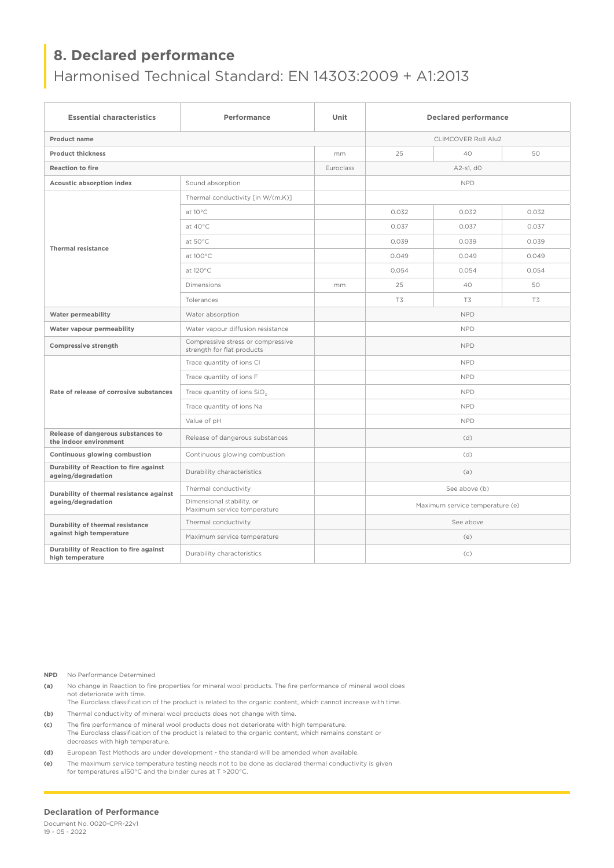# Harmonised Technical Standard: EN 14303:2009 + A1:2013

| <b>Essential characteristics</b>                               | Performance                                                     | Unit      | <b>Declared performance</b>     |            |                |  |
|----------------------------------------------------------------|-----------------------------------------------------------------|-----------|---------------------------------|------------|----------------|--|
| <b>Product name</b>                                            |                                                                 |           | <b>CLIMCOVER Roll Alu2</b>      |            |                |  |
| <b>Product thickness</b>                                       |                                                                 | mm        | 25                              | 40         | 50             |  |
| <b>Reaction to fire</b>                                        |                                                                 | Euroclass |                                 | A2-s1, d0  |                |  |
| Acoustic absorption index                                      | Sound absorption                                                |           |                                 | <b>NPD</b> |                |  |
|                                                                | Thermal conductivity [in W/(m.K)]                               |           |                                 |            |                |  |
|                                                                | at 10°C                                                         |           | 0.032                           | 0.032      | 0.032          |  |
|                                                                | at 40°C                                                         |           | 0.037                           | 0.037      | 0.037          |  |
|                                                                | at 50°C                                                         |           | 0.039                           | 0.039      | 0.039          |  |
| <b>Thermal resistance</b>                                      | at 100°C                                                        |           | 0.049                           | 0.049      | 0.049          |  |
|                                                                | at 120°C                                                        |           | 0.054                           | 0.054      | 0.054          |  |
|                                                                | Dimensions                                                      | mm        | 25                              | 40         | 50             |  |
|                                                                | Tolerances                                                      |           | T3                              | <b>T3</b>  | T <sub>3</sub> |  |
| Water permeability                                             | Water absorption                                                |           | <b>NPD</b>                      |            |                |  |
| Water vapour permeability                                      | Water vapour diffusion resistance                               |           | <b>NPD</b>                      |            |                |  |
| Compressive strength                                           | Compressive stress or compressive<br>strength for flat products |           | <b>NPD</b>                      |            |                |  |
|                                                                | Trace quantity of ions CI                                       |           | <b>NPD</b>                      |            |                |  |
|                                                                | Trace quantity of ions F                                        |           | <b>NPD</b>                      |            |                |  |
| Rate of release of corrosive substances                        | Trace quantity of ions SiO <sub>3</sub>                         |           | <b>NPD</b>                      |            |                |  |
|                                                                | Trace quantity of ions Na                                       |           | <b>NPD</b>                      |            |                |  |
|                                                                | Value of pH                                                     |           | <b>NPD</b>                      |            |                |  |
| Release of dangerous substances to<br>the indoor environment   | Release of dangerous substances                                 |           | (d)                             |            |                |  |
| Continuous glowing combustion                                  | Continuous glowing combustion                                   |           | (d)                             |            |                |  |
| Durability of Reaction to fire against<br>ageing/degradation   | Durability characteristics                                      |           | (a)                             |            |                |  |
| Durability of thermal resistance against<br>ageing/degradation | Thermal conductivity                                            |           | See above (b)                   |            |                |  |
|                                                                | Dimensional stability, or<br>Maximum service temperature        |           | Maximum service temperature (e) |            |                |  |
| Durability of thermal resistance                               | Thermal conductivity                                            |           | See above                       |            |                |  |
| against high temperature                                       | Maximum service temperature                                     |           | (e)                             |            |                |  |
| Durability of Reaction to fire against<br>high temperature     | Durability characteristics                                      |           | (c)                             |            |                |  |

**NPD** No Performance Determined

- **(a)** No change in Reaction to fire properties for mineral wool products. The fire performance of mineral wool does not deteriorate with time.
- The Euroclass classification of the product is related to the organic content, which cannot increase with time. **(b)** Thermal conductivity of mineral wool products does not change with time.
- **(c)** The fire performance of mineral wool products does not deteriorate with high temperature. The Euroclass classification of the product is related to the organic content, which remains constant or decreases with high temperature.
- **(d)** European Test Methods are under development the standard will be amended when available.
- **(e)** The maximum service temperature testing needs not to be done as declared thermal conductivity is given for temperatures ≤150°C and the binder cures at T >200°C.

#### **Declaration of Performance**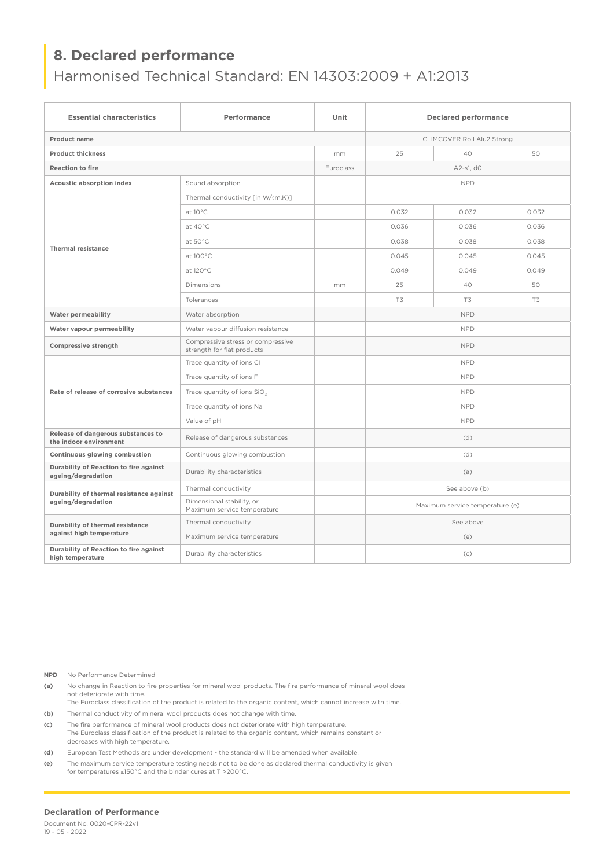# Harmonised Technical Standard: EN 14303:2009 + A1:2013

| <b>Essential characteristics</b>                               | Performance                                                     | Unit      | <b>Declared performance</b>     |           |                |
|----------------------------------------------------------------|-----------------------------------------------------------------|-----------|---------------------------------|-----------|----------------|
| <b>Product name</b>                                            |                                                                 |           | CLIMCOVER Roll Alu2 Strong      |           |                |
| <b>Product thickness</b>                                       |                                                                 |           | 25                              | 40        | 50             |
| <b>Reaction to fire</b>                                        |                                                                 | Euroclass | A2-s1, d0                       |           |                |
| Acoustic absorption index                                      | Sound absorption                                                |           | <b>NPD</b>                      |           |                |
|                                                                | Thermal conductivity [in W/(m.K)]                               |           |                                 |           |                |
|                                                                | at 10°C                                                         |           | 0.032                           | 0.032     | 0.032          |
|                                                                | at 40°C                                                         |           | 0.036                           | 0.036     | 0.036          |
|                                                                | at 50°C                                                         |           | 0.038                           | 0.038     | 0.038          |
| <b>Thermal resistance</b>                                      | at 100°C                                                        |           | 0.045                           | 0.045     | 0.045          |
|                                                                | at 120°C                                                        |           | 0.049                           | 0.049     | 0.049          |
|                                                                | Dimensions                                                      | mm        | 25                              | 40        | 50             |
|                                                                | Tolerances                                                      |           | T3                              | <b>T3</b> | T <sub>3</sub> |
| Water permeability                                             | Water absorption                                                |           | <b>NPD</b>                      |           |                |
| Water vapour permeability                                      | Water vapour diffusion resistance                               |           | <b>NPD</b>                      |           |                |
| Compressive strength                                           | Compressive stress or compressive<br>strength for flat products |           | <b>NPD</b>                      |           |                |
|                                                                | Trace quantity of ions CI                                       |           | <b>NPD</b>                      |           |                |
|                                                                | Trace quantity of ions F                                        |           | <b>NPD</b>                      |           |                |
| Rate of release of corrosive substances                        | Trace quantity of ions SiO <sub>3</sub>                         |           | <b>NPD</b>                      |           |                |
|                                                                | Trace quantity of ions Na                                       |           | <b>NPD</b>                      |           |                |
|                                                                | Value of pH                                                     |           | <b>NPD</b>                      |           |                |
| Release of dangerous substances to<br>the indoor environment   | Release of dangerous substances                                 |           | (d)                             |           |                |
| Continuous glowing combustion                                  | Continuous glowing combustion                                   |           | (d)                             |           |                |
| Durability of Reaction to fire against<br>ageing/degradation   | Durability characteristics                                      |           | (a)                             |           |                |
| Durability of thermal resistance against<br>ageing/degradation | Thermal conductivity                                            |           | See above (b)                   |           |                |
|                                                                | Dimensional stability, or<br>Maximum service temperature        |           | Maximum service temperature (e) |           |                |
| Durability of thermal resistance                               | Thermal conductivity                                            |           | See above                       |           |                |
| against high temperature                                       | Maximum service temperature                                     |           | (e)                             |           |                |
| Durability of Reaction to fire against<br>high temperature     | Durability characteristics                                      |           | (c)                             |           |                |

**NPD** No Performance Determined

- **(a)** No change in Reaction to fire properties for mineral wool products. The fire performance of mineral wool does not deteriorate with time.
- The Euroclass classification of the product is related to the organic content, which cannot increase with time. **(b)** Thermal conductivity of mineral wool products does not change with time.
- **(c)** The fire performance of mineral wool products does not deteriorate with high temperature. The Euroclass classification of the product is related to the organic content, which remains constant or decreases with high temperature.
- **(d)** European Test Methods are under development the standard will be amended when available.
- **(e)** The maximum service temperature testing needs not to be done as declared thermal conductivity is given for temperatures ≤150°C and the binder cures at T >200°C.

#### **Declaration of Performance**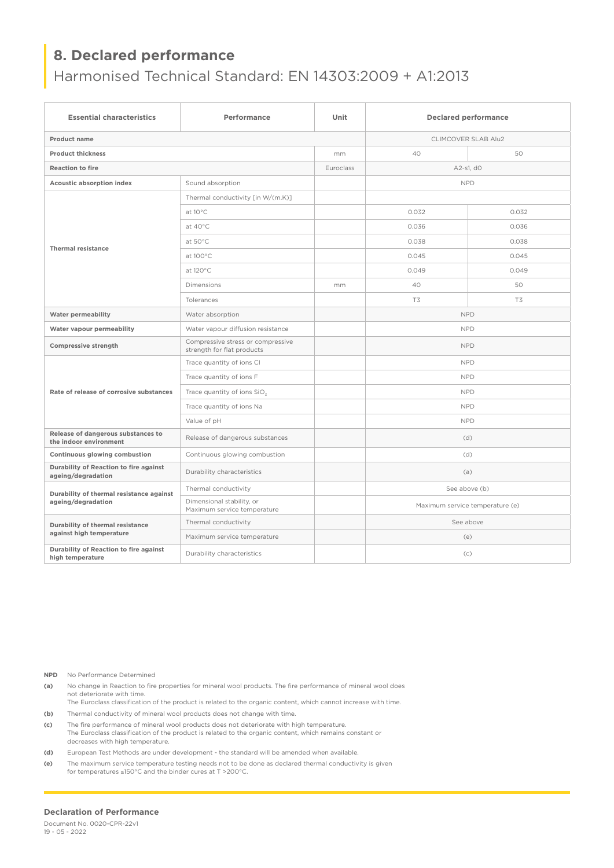# Harmonised Technical Standard: EN 14303:2009 + A1:2013

| <b>Essential characteristics</b>                               | Performance                                                     | Unit      | <b>Declared performance</b>     |       |  |
|----------------------------------------------------------------|-----------------------------------------------------------------|-----------|---------------------------------|-------|--|
| <b>Product name</b>                                            |                                                                 |           | <b>CLIMCOVER SLAB Alu2</b>      |       |  |
| <b>Product thickness</b>                                       |                                                                 | mm        | 40                              | 50    |  |
| <b>Reaction to fire</b>                                        |                                                                 | Euroclass | A2-s1, d0                       |       |  |
| Acoustic absorption index                                      | Sound absorption                                                |           | <b>NPD</b>                      |       |  |
|                                                                | Thermal conductivity [in W/(m.K)]                               |           |                                 |       |  |
|                                                                | at 10°C                                                         |           | 0.032                           | 0.032 |  |
|                                                                | at 40°C                                                         |           | 0.036                           | 0.036 |  |
| <b>Thermal resistance</b>                                      | at 50°C                                                         |           | 0.038                           | 0.038 |  |
|                                                                | at 100°C                                                        |           | 0.045                           | 0.045 |  |
|                                                                | at 120°C                                                        |           | 0.049                           | 0.049 |  |
|                                                                | Dimensions                                                      | mm        | 40                              | 50    |  |
|                                                                | Tolerances                                                      |           | T3                              | T3    |  |
| Water permeability                                             | Water absorption                                                |           | <b>NPD</b>                      |       |  |
| Water vapour permeability                                      | Water vapour diffusion resistance                               |           | <b>NPD</b>                      |       |  |
| Compressive strength                                           | Compressive stress or compressive<br>strength for flat products |           | <b>NPD</b>                      |       |  |
|                                                                | Trace quantity of ions CI                                       |           | <b>NPD</b>                      |       |  |
|                                                                | Trace quantity of ions F                                        |           | <b>NPD</b>                      |       |  |
| Rate of release of corrosive substances                        | Trace quantity of ions SiO <sub>3</sub>                         |           | <b>NPD</b>                      |       |  |
|                                                                | Trace quantity of ions Na                                       |           | <b>NPD</b>                      |       |  |
|                                                                | Value of pH                                                     |           | <b>NPD</b>                      |       |  |
| Release of dangerous substances to<br>the indoor environment   | Release of dangerous substances                                 |           | (d)                             |       |  |
| Continuous glowing combustion                                  | Continuous glowing combustion                                   |           | (d)                             |       |  |
| Durability of Reaction to fire against<br>ageing/degradation   | Durability characteristics                                      |           | (a)                             |       |  |
| Durability of thermal resistance against<br>ageing/degradation | Thermal conductivity                                            |           | See above (b)                   |       |  |
|                                                                | Dimensional stability, or<br>Maximum service temperature        |           | Maximum service temperature (e) |       |  |
| Durability of thermal resistance                               | Thermal conductivity                                            |           | See above                       |       |  |
| against high temperature                                       | Maximum service temperature                                     |           | (e)                             |       |  |
| Durability of Reaction to fire against<br>high temperature     | Durability characteristics                                      |           | (c)                             |       |  |

**NPD** No Performance Determined

- **(a)** No change in Reaction to fire properties for mineral wool products. The fire performance of mineral wool does not deteriorate with time.
- The Euroclass classification of the product is related to the organic content, which cannot increase with time. **(b)** Thermal conductivity of mineral wool products does not change with time.
- **(c)** The fire performance of mineral wool products does not deteriorate with high temperature. The Euroclass classification of the product is related to the organic content, which remains constant or decreases with high temperature.
- **(d)** European Test Methods are under development the standard will be amended when available.
- **(e)** The maximum service temperature testing needs not to be done as declared thermal conductivity is given for temperatures ≤150°C and the binder cures at T >200°C.

#### **Declaration of Performance**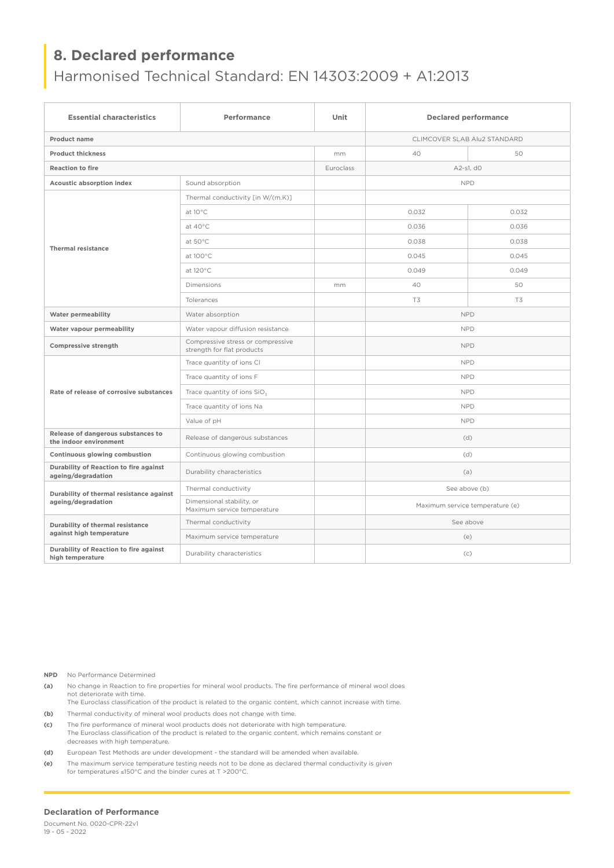# Harmonised Technical Standard: EN 14303:2009 + A1:2013

| <b>Essential characteristics</b>                               | Performance                                                     | Unit      |                              | <b>Declared performance</b>     |  |  |
|----------------------------------------------------------------|-----------------------------------------------------------------|-----------|------------------------------|---------------------------------|--|--|
| <b>Product name</b>                                            |                                                                 |           | CLIMCOVER SLAB Alu2 STANDARD |                                 |  |  |
| <b>Product thickness</b>                                       |                                                                 | mm        | 40                           | 50                              |  |  |
| <b>Reaction to fire</b>                                        |                                                                 | Euroclass | A2-s1, d0                    |                                 |  |  |
| Acoustic absorption index                                      | Sound absorption                                                |           | <b>NPD</b>                   |                                 |  |  |
|                                                                | Thermal conductivity [in W/(m.K)]                               |           |                              |                                 |  |  |
|                                                                | at 10°C                                                         |           | 0.032                        | 0.032                           |  |  |
|                                                                | at $40^{\circ}$ C                                               |           | 0.036                        | 0.036                           |  |  |
| <b>Thermal resistance</b>                                      | at 50°C                                                         |           | 0.038                        | 0.038                           |  |  |
|                                                                | at 100°C                                                        |           | 0.045                        | 0.045                           |  |  |
|                                                                | at 120°C                                                        |           | 0.049                        | 0.049                           |  |  |
|                                                                | <b>Dimensions</b>                                               | mm        | 40                           | 50                              |  |  |
|                                                                | Tolerances                                                      |           | T3                           | T3                              |  |  |
| Water permeability                                             | Water absorption                                                |           |                              | <b>NPD</b>                      |  |  |
| Water vapour permeability                                      | Water vapour diffusion resistance                               |           | <b>NPD</b>                   |                                 |  |  |
| Compressive strength                                           | Compressive stress or compressive<br>strength for flat products |           | <b>NPD</b>                   |                                 |  |  |
|                                                                | Trace quantity of ions CI                                       |           | <b>NPD</b>                   |                                 |  |  |
|                                                                | Trace quantity of ions F                                        |           | <b>NPD</b>                   |                                 |  |  |
| Rate of release of corrosive substances                        | Trace quantity of ions SiO <sub>3</sub>                         |           | <b>NPD</b>                   |                                 |  |  |
|                                                                | Trace quantity of ions Na                                       |           | <b>NPD</b>                   |                                 |  |  |
|                                                                | Value of pH                                                     |           | <b>NPD</b>                   |                                 |  |  |
| Release of dangerous substances to<br>the indoor environment   | Release of dangerous substances                                 |           | (d)                          |                                 |  |  |
| Continuous glowing combustion                                  | Continuous glowing combustion                                   |           | (d)                          |                                 |  |  |
| Durability of Reaction to fire against<br>ageing/degradation   | Durability characteristics                                      |           | (a)                          |                                 |  |  |
| Durability of thermal resistance against<br>ageing/degradation | Thermal conductivity                                            |           | See above (b)                |                                 |  |  |
|                                                                | Dimensional stability, or<br>Maximum service temperature        |           |                              | Maximum service temperature (e) |  |  |
| Durability of thermal resistance<br>against high temperature   | Thermal conductivity                                            |           |                              | See above                       |  |  |
|                                                                | Maximum service temperature                                     |           | (e)                          |                                 |  |  |
| Durability of Reaction to fire against<br>high temperature     | Durability characteristics                                      |           | (c)                          |                                 |  |  |

**NPD** No Performance Determined

- **(a)** No change in Reaction to fire properties for mineral wool products. The fire performance of mineral wool does not deteriorate with time.
- The Euroclass classification of the product is related to the organic content, which cannot increase with time. **(b)** Thermal conductivity of mineral wool products does not change with time.
- **(c)** The fire performance of mineral wool products does not deteriorate with high temperature. The Euroclass classification of the product is related to the organic content, which remains constant or decreases with high temperature.
- **(d)** European Test Methods are under development the standard will be amended when available.
- **(e)** The maximum service temperature testing needs not to be done as declared thermal conductivity is given for temperatures ≤150°C and the binder cures at T >200°C.

#### **Declaration of Performance**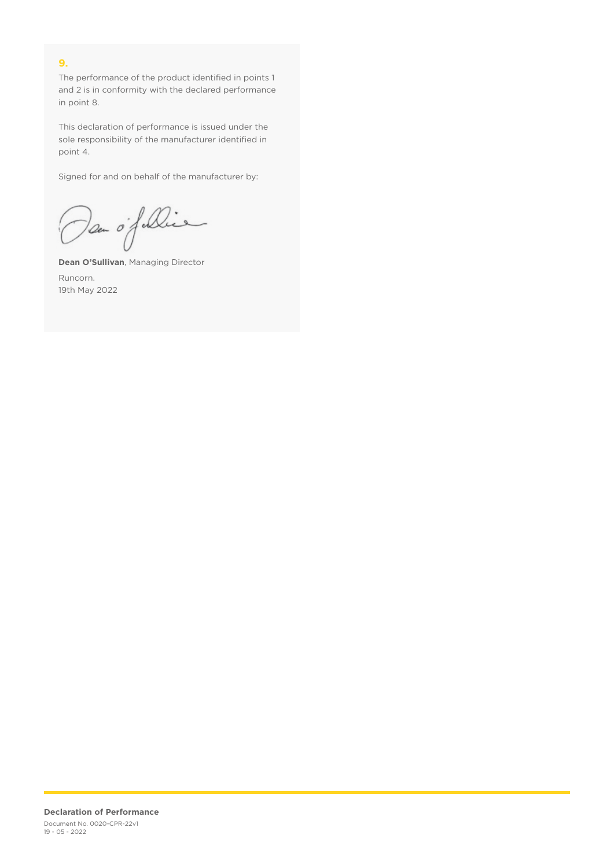## **9.**

The performance of the product identified in points 1 and 2 is in conformity with the declared performance in point 8.

This declaration of performance is issued under the sole responsibility of the manufacturer identified in point 4.

Signed for and on behalf of the manufacturer by:

Dan of Die

**Dean O'Sullivan**, Managing Director Runcorn. 19th May 2022